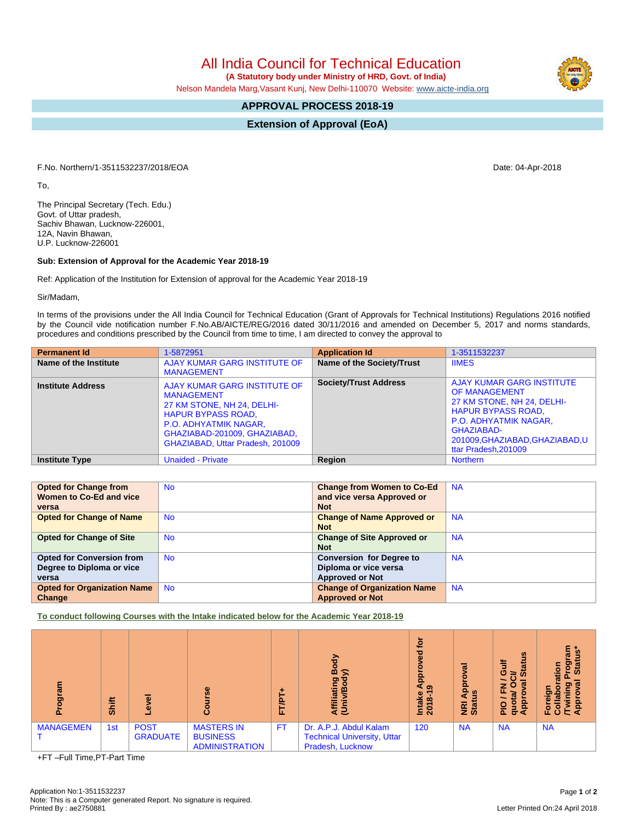All India Council for Technical Education

 **(A Statutory body under Ministry of HRD, Govt. of India)**

Nelson Mandela Marg,Vasant Kunj, New Delhi-110070 Website: [www.aicte-india.org](http://www.aicte-india.org)

## **APPROVAL PROCESS 2018-19**

**Extension of Approval (EoA)**

F.No. Northern/1-3511532237/2018/EOA Date: 04-Apr-2018

To,

The Principal Secretary (Tech. Edu.) Govt. of Uttar pradesh, Sachiv Bhawan, Lucknow-226001, 12A, Navin Bhawan, U.P. Lucknow-226001

## **Sub: Extension of Approval for the Academic Year 2018-19**

Ref: Application of the Institution for Extension of approval for the Academic Year 2018-19

Sir/Madam,

In terms of the provisions under the All India Council for Technical Education (Grant of Approvals for Technical Institutions) Regulations 2016 notified by the Council vide notification number F.No.AB/AICTE/REG/2016 dated 30/11/2016 and amended on December 5, 2017 and norms standards, procedures and conditions prescribed by the Council from time to time, I am directed to convey the approval to

| <b>Permanent Id</b>      | 1-5872951                                                                                                                                                                                                        | <b>Application Id</b>        | 1-3511532237                                                                                                                                                                                                              |
|--------------------------|------------------------------------------------------------------------------------------------------------------------------------------------------------------------------------------------------------------|------------------------------|---------------------------------------------------------------------------------------------------------------------------------------------------------------------------------------------------------------------------|
| Name of the Institute    | AJAY KUMAR GARG INSTITUTE OF<br><b>MANAGEMENT</b>                                                                                                                                                                | Name of the Society/Trust    | <b>IIMES</b>                                                                                                                                                                                                              |
| <b>Institute Address</b> | AJAY KUMAR GARG INSTITUTE OF<br><b>MANAGEMENT</b><br>27 KM STONE, NH 24, DELHI-<br><b>HAPUR BYPASS ROAD.</b><br><b>P.O. ADHYATMIK NAGAR,</b><br>GHAZIABAD-201009, GHAZIABAD,<br>GHAZIABAD, Uttar Pradesh, 201009 | <b>Society/Trust Address</b> | <b>AJAY KUMAR GARG INSTITUTE</b><br><b>OF MANAGEMENT</b><br>27 KM STONE, NH 24, DELHI-<br><b>HAPUR BYPASS ROAD,</b><br>P.O. ADHYATMIK NAGAR,<br><b>GHAZIABAD-</b><br>201009.GHAZIABAD.GHAZIABAD.U<br>ttar Pradesh, 201009 |
| <b>Institute Type</b>    | <b>Unaided - Private</b>                                                                                                                                                                                         | Region                       | <b>Northern</b>                                                                                                                                                                                                           |

| <b>Opted for Change from</b><br>Women to Co-Ed and vice<br>versa       | <b>No</b> | <b>Change from Women to Co-Ed</b><br>and vice versa Approved or<br><b>Not</b>      | <b>NA</b> |
|------------------------------------------------------------------------|-----------|------------------------------------------------------------------------------------|-----------|
| <b>Opted for Change of Name</b>                                        | <b>No</b> | <b>Change of Name Approved or</b><br><b>Not</b>                                    | <b>NA</b> |
| <b>Opted for Change of Site</b>                                        | <b>No</b> | <b>Change of Site Approved or</b><br><b>Not</b>                                    | <b>NA</b> |
| <b>Opted for Conversion from</b><br>Degree to Diploma or vice<br>versa | <b>No</b> | <b>Conversion for Degree to</b><br>Diploma or vice versa<br><b>Approved or Not</b> | <b>NA</b> |
| <b>Opted for Organization Name</b><br>Change                           | <b>No</b> | <b>Change of Organization Name</b><br><b>Approved or Not</b>                       | <b>NA</b> |

**To conduct following Courses with the Intake indicated below for the Academic Year 2018-19**

| ౚ<br>o.          | Shift |                                | Φ<br>Ő                                                        | ٠<br>ë<br>⊨<br>L. | Body<br>$\widehat{\mathbf{z}}$<br>Affiliating<br>(Univ/Bod <sup>)</sup>          | ē<br>ъ<br><u>ခု</u><br>န<br>Intake<br>2018-1 | ಕ<br>윤<br>9<br>NRI<br>Stat | 9ű<br>₹<br><b>State</b><br>O<br>ਨੋ<br>网<br>$\bullet$<br>z<br>щ<br>సె<br>ppro<br>₽<br>음<br>ਰ<br>⋖ | g<br>$\mathbf{S}$<br>စ္မွ<br><b>Star</b><br>tion<br>್<br>ᇒ.<br>o.<br>$E\overline{S}$ $\overline{S}$ $\overline{S}$ |
|------------------|-------|--------------------------------|---------------------------------------------------------------|-------------------|----------------------------------------------------------------------------------|----------------------------------------------|----------------------------|--------------------------------------------------------------------------------------------------|--------------------------------------------------------------------------------------------------------------------|
| <b>MANAGEMEN</b> | 1st   | <b>POST</b><br><b>GRADUATE</b> | <b>MASTERS IN</b><br><b>BUSINESS</b><br><b>ADMINISTRATION</b> | <b>FT</b>         | Dr. A.P.J. Abdul Kalam<br><b>Technical University, Uttar</b><br>Pradesh, Lucknow | 120                                          | <b>NA</b>                  | <b>NA</b>                                                                                        | <b>NA</b>                                                                                                          |

+FT –Full Time,PT-Part Time